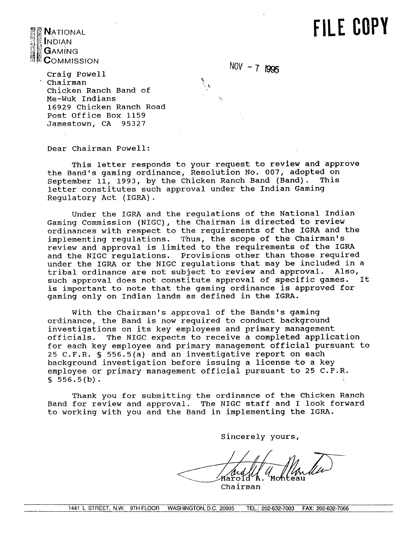## **FILE COPY**



 $NOV - 7$   $1995$ 

Craig Powell Chairman Chicken Ranch Band of Me-Wuk 1ndians 16929 Chicken Ranch Road Post office Box 1159 Jamestown, CA 95327

Dear chairman Powell:

This letter responds to your request to review and approve the Band's gaming ordinance, Resolution No. 007, adopted on September 11, 1993, by the Chicken Ranch Band (Band). letter constitutes such approval under the Indian Gaming Regulatory Act (IGRA) .

Under the IGRA and the regulations of the National Indian Gaming Commission (NIGC), the Chairman is directed to review ordinances with respect to the requirements of the IGRA and the implementing regulations. Thus, the scope of the Chairman's review and approval is limited to the requirements of the IGRA and the NIGC regulations. Provisions other than those required under the IGRA or the NIGC regulations that may be included in a tribal ordinance are not subject to review and approval. Also,<br>such approval does not constitute approval of specific games. It such approval does not constitute approval of specific games. is important to note that the gaming ordinance is approved for gaming only on Indian lands as defined in the IGRA.

With the Chairman's approval of the Bands's gaming ordinance, the Band is now required to conduct background investigations on its key employees and primary management officials. The NIGC expects to receive a completed application for each key employee and primary management official pursuant to 25 C.F.R. § 556.5(a) and an investigative report on each background investigation before issuing a license to a key employee or primary management official pursuant to 25 C.F.R.  $$556.5(b).$ 

Thank you for submitting the ordinance of the Chicken Ranch Band for review and approval. The NIGC staff and I look forward to working with you and the Band in implementing the IGRA.

Sincerely yours,

Karold

Chairman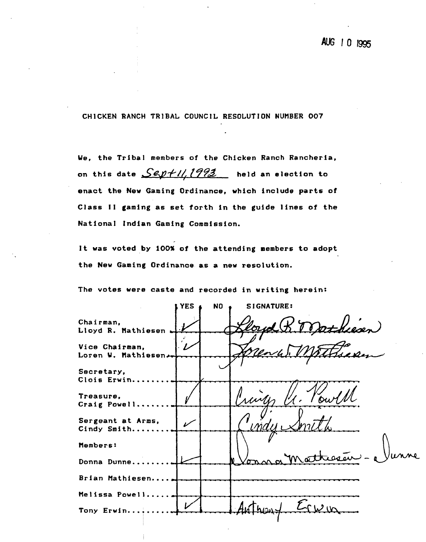### AUG 1 0 1995

**CHlCKEN** RANCH TRIBAL COUNCIL RESOLUTION NUHBER **007** 

**Ue, the Tribal members of the Chicken Ranch Rancheria,**  on this date  $\frac{Sep+11,1993}{2}$  held an election to **enact the New Gaming Ordinance, which include parts of Class 11 gaming as set forth in the guide lines of the National Indian Gaming Commission.** 

**It was voted by 100% of the attending members to adopt the New Gaming 0rdinance.as a new resolution.** 

**The votes were caste and recorded in writing herein:** 

YES **t** NO **t** SIGNATURE: **Chairman,**  Dathiesen **Lloyd R. Hathiesen Vice Chairman, Loren U. Mathiesen Secretary, Clois Erwin........ Treasure, Craig Powell.,,.... Sergeant at Arms,**   $\boldsymbol{\nu}$ **Cindy Smith........ Donna Dunne........** - Junne **tlembers: Brian Hathiesen..** .. ,. **Melissa Powell....**  $2m$ Tony Erwin..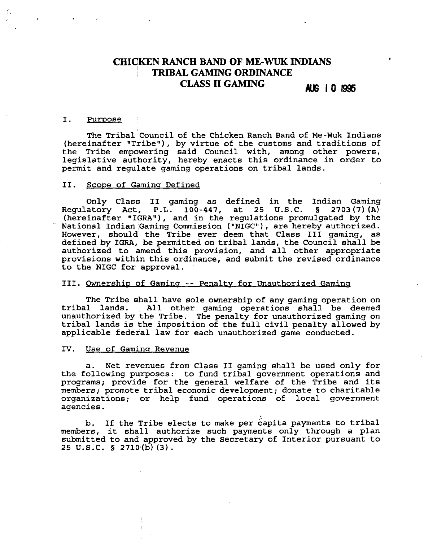### **CHICKEN RANCH BAND OF ME-WUK INDIANS** ' **TRIBAL GAMING ORDINANCE CLASS II GAMING ALG 10 1995**

#### I. Purpose

The Tribal Council of the Chicken Ranch Band of Me-Wuk Indians (hereinafter "Tribe"), by virtue of the customs and traditions of the Tribe empowering said Council with, among other powers, legislative authority, hereby enacts this ordinance in order to permit and regulate gaming operations on tribal lands.

#### II. Scope of Gaming Defined

Only Class I1 gaming as defined in the Indian Gaming Regulatory Act, P.L. 100-447, at 25 U.S.C. **5** 2703(7) **(A)**  (hereinafter "IGRA"), and in the regulations promulgated by the National Indian Gaming Commission ("NIGC"), are hereby authorized. However, should the Tribe ever deem that Class I11 gaming, as defined by IGRA, be permitted on tribal lands, the Council shall be authorized to amend this provision, and all other appropriate provisions within this ordinance, and submit the revised ordinance to the NIGC for approval.

#### 111. Ownershiw of Gaminq -- Penaltv for Unauthorized Gaminq

The Tribe shall have sole ownership of any gaming operation on tribal lands. All other gaming operations shall be deemed All other gaming operations shall be deemed unauthorized by the Tribe. The penalty for unauthorized gaming on tribal lands is the imposition of the full civil penalty allowed by applicable federal law for each unauthorized game conducted.

#### IV. Use of Gaming Revenue

a. Net revenues from Class I1 gaming shall be used only for the following purposes: to fund tribal government operations and programs; provide for the general welfare of the Tribe and its members; promote tribal economic development; donate to charitable organizations; or help fund operations of local government agencies.

b. If the Tribe elects to make per capita payments to tribal members, it shall authorize such payments only through a plan submitted to and approved by the Secretary of Interior pursuant to 25 U.S.C.  $\S$  2710(b)(3).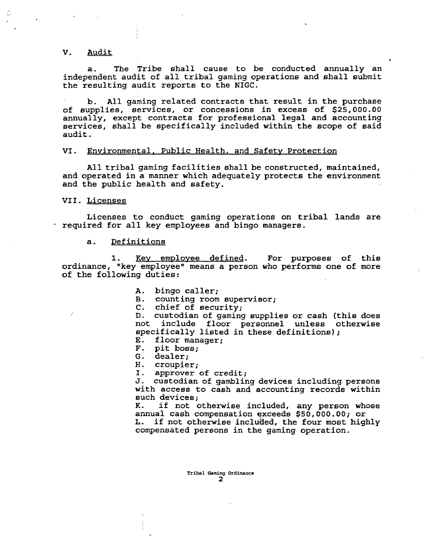#### V. Audit

a. The Tribe shall cause to be conducted annually an independent audit of all tribal gaming operations and shall submit the resulting audit reports to the NIGC.

**a** 

b. All gaming related contracts that result in the purchase of supplies, services, or concessions in excess of \$25,000.00 annually, except contracts for professional legal and accounting services, shall be specifically included within the scope of said audit .

#### VI. Environmental, Public Health. and Safety Protection

All tribal gaming facilities shall be constructed, maintained, and operated in a manner which adequately protects the environment and the public health and safety.

VII. Licenses

Licenses to conduct gaming operations on tribal lands are required for all key employees and bingo managers.

Definitions a.

Key employee defined. For purposes of this ordinance, "key employeen means a person who performs one of more of the following duties:

- **A.** bingo caller;
- B. counting room supervisor;
- C. chief of security;

D. custodian of gaming supplies or cash (this does not include floor personnel unless otherwise specifically listed in these definitions);

- E. floor manager;
- F. pit boss;
- G. dealer;

H. croupier;<br>I. approver

approver of credit;

J. custodian of gambling devices including persons with access to cash and accounting records within such devices;

K. if not otherwise included, any person whose annual cash compensation exceeds \$50,000.00; or L. if not otherwise included, the four most highly compensated persons in the gaming operation.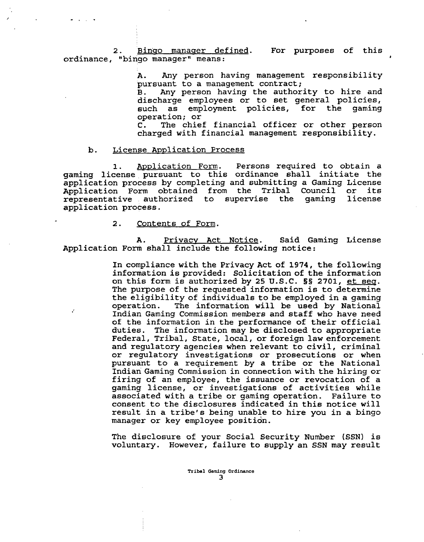2. Bingo manager defined. For purposes of this ordinance, "bingo manager" means:

> A. Any person having management responsibility pursuant to a management contract;<br>B. Any person having the author

> Any person having the authority to hire and discharge employees or to set general policies, such as employment policies, for the gaming operation; or<br>C. The chie:

> The chief financial officer or other person charged with financial management responsibility.

#### b. License Application Process

1. Application Form. Persons required to obtain a gaming license pursuant to this ordinance shall initiate the application process by completing and submitting a Gaming License Application Form obtained from the Tribal Council or its<br>representative authorized to supervise the gaming license representative authorized to supervise the gaming application process.

#### 2. Contents of Form.

A. Privacy Act Notice. Said Gaming License Application Form shall include the following notice:

> In compliance with the Privacy Act of 1974, the following information is provided: Solicitation of the information on this form is authorized by 25 U.S.C. **S§** 2701, et seq. The purpose of the requested information is to determine the eligibility of individuals to be employed in a gaming operation. The information will be used by National The information will be used by National Indian Gaming Commission members and staff who have need of the information in the performance of their official duties. The information may be disclosed to appropriate Federal, Tribal, State, local, or foreign law enforcement and regulatory agencies when relevant to civil, criminal or regulatory investigations or prosecutions or when pursuant to a requirement by a tribe or the National Indian Gaming Commission in connection with the hiring or firing of an employee, the issuance or revocation of a gaming license, or investigations of activities while associated with a tribe or gaming operation. Failure to consent to the disclosures indicated in this notice will result in a tribe's being unable to hire you in a bingo manager or key employee position.

> The disclosure of your Social Security Number (SSN) is voluntary. However, failure to supply an SSN may result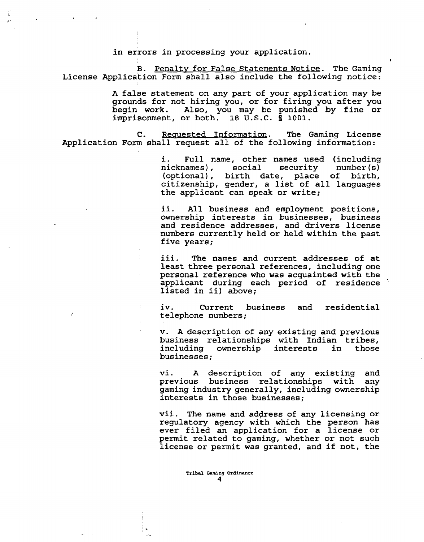in errors in processing your application.

B. Penalty for False Statements Notice. The Gaming License Application Form shall also include the following notice:

> A false statement on any part of your application may be grounds for not hiring you, or for firing you after you begin work. Also, you may be punished by fine or imprisonment, or both. 18 U.S.C. § **1001.**

C. Requested Information. The Gaming License Application Form shall request all of the following information:

> **i.** Full name, other names used (including nicknames), (optional), birth date, place of birth, citizenship, gender, a list of all languages the applicant can speak or write;

#

ii. All business and employment positions, ownership interests in businesses, business and residence addresses, and drivers license numbers currently held or held within the past five years;

iii. The names and current addresses of at least three personal references, including one personal reference who was acquainted with the applicant during each period of residence ' listed in ii) above;

iv. Current business and residential telephone numbers;

**v. A** description of any existing and previous business relationships with Indian tribes,<br>including ownership interests in those ownership interests businesses;

vi. A description of any existing and<br>previous business relationships with any previous business relationships with gaming industry generally, including ownership interests in those businesses;

vii. The name and address of any licensing or regulatory agency with which the person has ever filed an application for a license or permit related to gaming, whether or not such license or permit was granted, and if not, the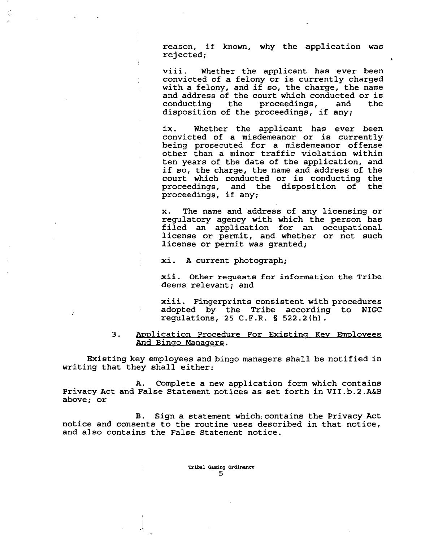reason, if known, why the application was rejected; **<sup>a</sup>**

viii. Whether the applicant has ever been convicted of a felony or is currently charged with a felony, and if so, the charge, the name and address of the court which conducted or is<br>conducting the proceedings, and the proceedings, disposition of the proceedings, if any;

ix. Whether the applicant has ever been convicted of a misdemeanor or is currently being prosecuted for a misdemeanor offense other than a minor traffic violation within ten years of the date of the application, and if so, the charge, the name and address of the court which conducted or is conducting the proceedings, and the disposition of the proceedings, if any;

x. The name and address of any licensing or regulatory agency with which the person has filed an application for an occupational license or permit, and whether or not such license or permit was granted;

xi. A current photograph;

ť.

xii. Other requests for information the Tribe deems relevant; and

xiii. Fingerprints consistent with procedures adopted by the Tribe according to NIGC regulations, 25 C.F.R. § 522.2(h).

#### 3. Application Procedure For Existing Key Employees And Bingo Managers.

Existing key employees and bingo managers shall be notified in writing that they shall either:

A. Complete a new application form which contains Privacy Act and False Statement notices as set forth in VII.b.2.A&B above; or

B. Sign a statement which, contains the Privacy Act notice and consents to the routine uses described in that notice, and also contains the False Statement notice.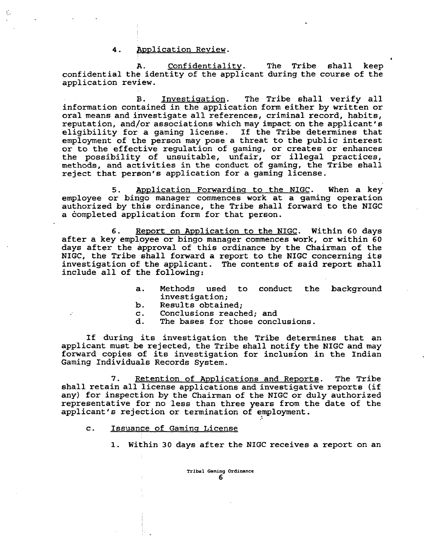#### 4. **Application Review.**

**A.** Confidentialitv. The Tribe shall keep confidential the identity of the applicant during the course of the application review.

**6** 

B. Investigation. The Tribe shall verify all information contained in the application form either by written or oral means and investigate all references, criminal record, habits, reputation, and/or associations which may impact on the applicant's eligibility for a gaming license. If the Tribe determines that employment of the person may pose a threat to the public interest or to the effective regulation of gaming, or creates or enhances the possibility of unsuitable, unfair, or illegal practices, methods, and activities in the conduct of gaming, the Tribe shall reject that person's application for a gaming license.

5. Application Forwarding to the NIGC. When a key employee or bingo manager commences work at a gaming operation authorized by this ordinance, the Tribe shall forward to the NIGC a completed application form for that person.

6. Report on Application to the NIGC. Within 60 days after a key employee or bingo manager commences work, or within 60 days after the approval of this ordinance by the Chairman of the NIGC, the Tribe shall forward a report to the NIGC concerning its investigation of the applicant. The contents of said report shall include all of the following:

- a. Methods used to conduct the background investigation;
- b. Results obtained;<br>c. Conclusions reach
- c. Conclusions reached; and
- The bases for those conclusions.

If during its investigation the Tribe determines that an applicant must be rejected, the Tribe shall notify the NIGC and may forward copies of its investigation for inclusion in the Indian Gaming Individuals Records System.

7. Retention of Applications and Reports. The Tribe shall retain all license applications and investigative reports (if any) for inspection by the Chairman of the NIGC or duly authorized representative for no less than three years from the date of the applicant's rejection or termination of employment.

- c. Issuance of Gaming License
	- **1.** Within 30 days after the NIGC receives a report on an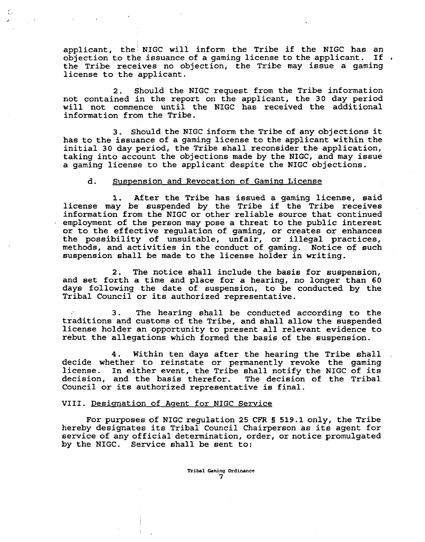applicant, the NIGC will inform the Tribe if the NIGC has an<br>objection to the issuance of a gaming license to the applicant. If , objection to the issuance of a gaming license to the applicant. If the Tribe receives no objection, the Tribe may issue a gaming license to the applicant.

2. Should the NIGC request from the Tribe information not contained in the report on the applicant, the **30** day period will not commence until the NIGC has received the additional information from the Tribe.

**3.** Should the NIGC inform the Tribe of any objections it has to the issuance of a gaming license to the applicant within the initial **30** day period, the Tribe shall reconsider the application, taking into account the objections made by the NIGC, and may issue a gaming license to the applicant despite the NIGC objections.

#### d. Suspension and Revocation of Gaming License

1. After the Tribe has issued a gaming license, said license may be suspended by the Tribe if the Tribe receives information from the NIGC or other reliable source that continued employment of the person may pose a threat to the public interest or to the effective regulation of gaming, or creates or enhances the possibility of unsuitable, unfair, or illegal practices, methods, and activities in the conduct of gaming. Notice of such suspension shall be made to the license holder in writing.

2. The notice shall include the basis for suspension, and set forth a time and place for a hearing, no longer than **60**  days following the date of suspension, to be conducted by the Tribal Council or its authorized representative.

**3.** The hearing shall be conducted according to the traditions and customs of the Tribe, and shall allow the suspended license holder an opportunity to present all relevant evidence to rebut the allegations which formed the basis of the suspension.

**4.** Within ten days after the hearing the Tribe shall decide whether to reinstate or permanently revoke the gaming license. In either event, the Tribe shall notify the NIGC of its decision, and the basis therefor. The decision of the Tribal Council or its authorized representative is final.

#### VIII. Designation of Agent for NIGC Service

For purposes of NIGC regulation 25 CFR § 519.1 only, the Tribe hereby designates its Tribal Council Chairperson as its agent for service of any official determination, order, or notice promulgated by the NIGC. Service shall be sent to: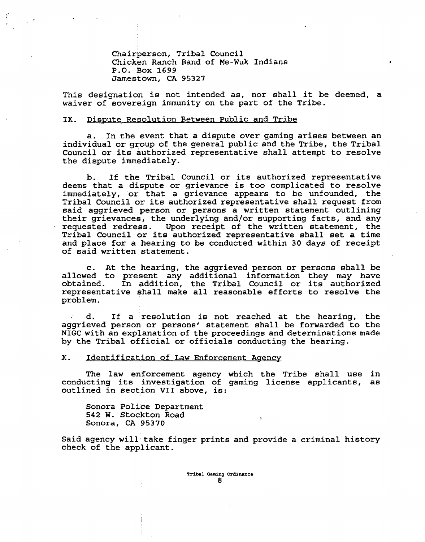Chairperson, Tribal Council Chicken Ranch Band of Me-Wuk Indians P.O. Box 1699 Jamestown, **CA** 95327

This designation is not intended as, nor shall it be deemed, a waiver of sovereign immunity on the part of the Tribe.

#### IX. Dispute Resolution Between Public and Tribe

a. In the event that a dispute over gaming arises between an individual or group of the general public and the Tribe, the Tribal Council or its authorized representative shall attempt to resolve the dispute immediately.

b. If the Tribal Council or its authorized representative deems that a dispute or grievance is too complicated to resolve immediately, or that a grievance appears to be unfounded, the Tribal Council or its authorized representative shall request from said aggrieved person or persons a written statement outlining their grievances, the underlying and/or supporting facts, and any requested redress. Upon receipt of the written statement, the Upon receipt of the written statement, the Tribal Council or its authorized representative shall set a time and place for a hearing to be conducted within 30 days of receipt of said written statement.

c. At the hearing, the aggrieved person or persons shall be allowed to present any additional information they may have obtained. In addition, the Tribal Council or its authorized representative shall make all reasonable efforts to resolve the problem.

**<sup>a</sup>**d. If a resolution is not reached at the hearing, the aggrieved person or persons' statement shall be forwarded to the NIGC with an explanation of the proceedings and determinations made by the Tribal official or officials conducting the hearing.

X. Identification of Law Enforcement Agency

The law enforcement agency which the Tribe shall use in conducting its investigation of gaming license applicants, as outlined in section VII above, is:

Sonora Police Department **542** W. Stockton Road Sonora, **CA** 95370

Said agency will take finger prints and provide a criminal history check of the applicant.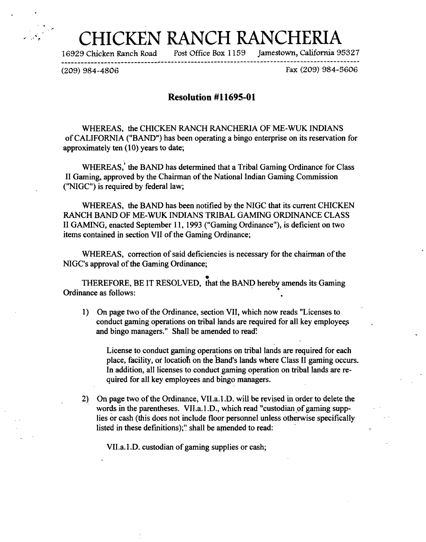# HCKEN RANCH RANCHER<br>cken Ranch Road Post Office Box 1159 Jamestown, Califo

16929 Chicken Ranch Road Post Office Box 1 159 Jarnestown, California 95327

**-------------\_\_\_\_\_-----------#-----------------------e-----------------------e---\*--------** 

(209) 984-4806 Fax (209) 984-5606

#### **Resolution #11695-01**

WHEREAS, the CHICKEN RANCH RANCHERIA OF ME-WUK INDIANS of CALIFORNIA ("BAND") has been operating a bingo enterprise on its reservation for approximately ten  $(10)$  years to date;

WHEREAS,' the BAND has determined that a Tribal Gaming Ordinance for Class I1 Gaming, approved by the Chairman of the National Indian Gaming Commission ("NIGC") is required by federal law;

WHEREAS, the BAND has been notified by the NIGC that its current CHICKEN RANCH BAND OF ME-WUK INDIANS TRIBAL GAMING ORDINANCE CLASS II GAMING, enacted September 11, 1993 ("Gaming Ordinance"), is deficient on two items contained in section VII of the Gaming Ordinance;

WHEREAS, correction of said deficiencies is necessary for the chairman of the NIGC's approval of the Gaming Ordinance;

THEREFORE, BE IT RESOLVED, that the BAND hereby amends its Gaming Ordinance as follows:

1) On page two of the Ordinance, section VII, which now reads "Licenses to conduct gaming operations on tribal lands are required for all key employees and bingo managers." Shall be amended to read:

License to conduct gaming operations on tribal lands are required for each place, facility, or locatiofi on the Band's lands where Class I1 gaming occurs. In addition, all licenses to conduct gaming operation on tribal lands are required for all key employees and bingo managers.

2) On page two of the Ordinance, VII.a.1 .D. **will** be revised in order to delete the words in the parentheses. VII.a.1.D., which read "custodian of gaming supplies or cash (this does not include floor personnel unless otherwise specifically listed in these definitions);" shall be amended to read:

VI1.a. 1 .D. custodian of gaming supplies or cash;